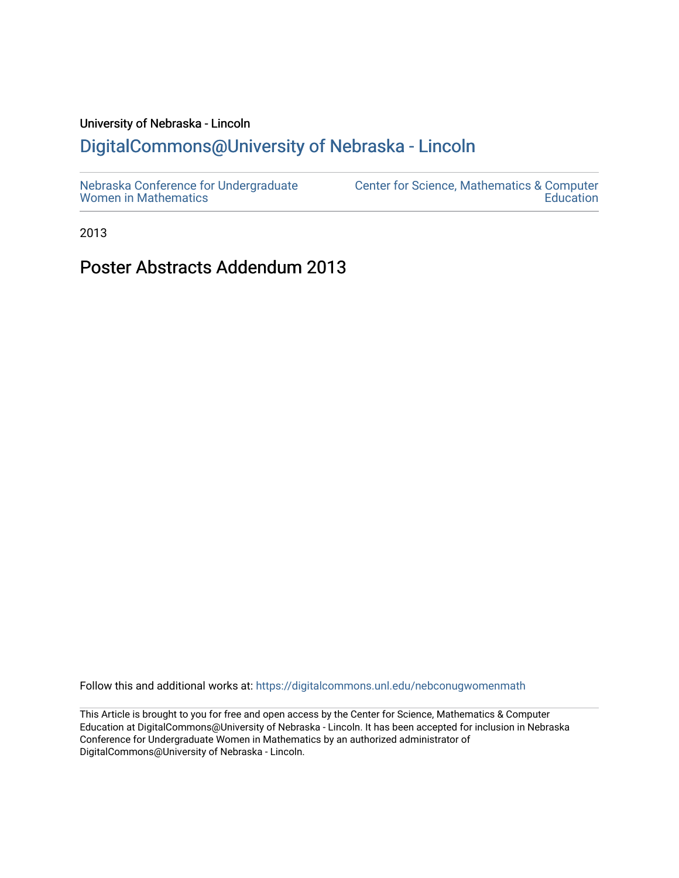# University of Nebraska - Lincoln

# [DigitalCommons@University of Nebraska - Lincoln](https://digitalcommons.unl.edu/)

2013

# Poster Abstracts Addendum 2013

Follow this and additional works at: [https://digitalcommons.unl.edu/nebconugwomenmath](https://digitalcommons.unl.edu/nebconugwomenmath?utm_source=digitalcommons.unl.edu%2Fnebconugwomenmath%2F16&utm_medium=PDF&utm_campaign=PDFCoverPages)

This Article is brought to you for free and open access by the Center for Science, Mathematics & Computer Education at DigitalCommons@University of Nebraska - Lincoln. It has been accepted for inclusion in Nebraska Conference for Undergraduate Women in Mathematics by an authorized administrator of DigitalCommons@University of Nebraska - Lincoln.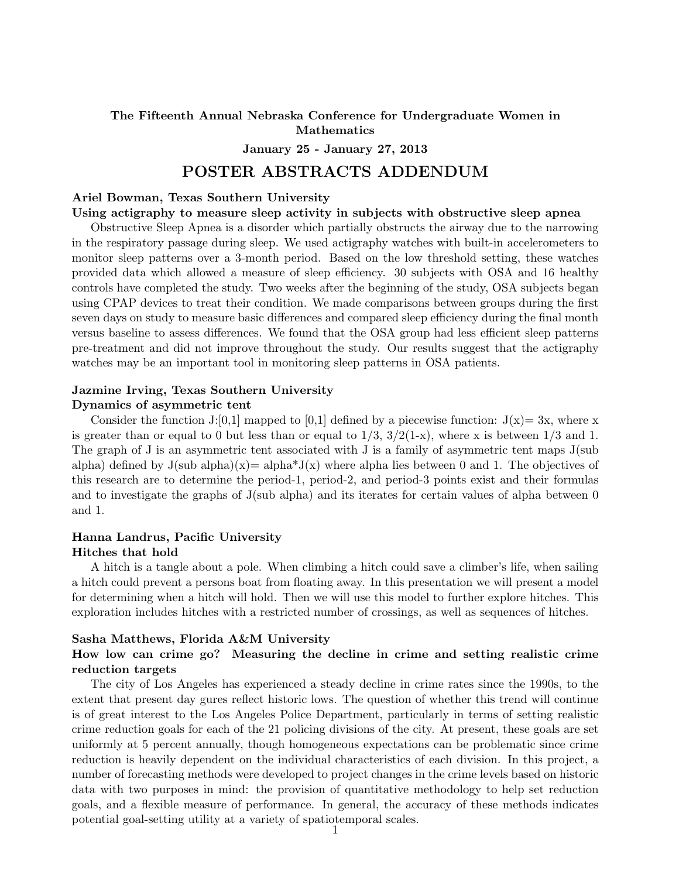## The Fifteenth Annual Nebraska Conference for Undergraduate Women in Mathematics

## January 25 - January 27, 2013

## POSTER ABSTRACTS ADDENDUM

## Ariel Bowman, Texas Southern University

## Using actigraphy to measure sleep activity in subjects with obstructive sleep apnea

Obstructive Sleep Apnea is a disorder which partially obstructs the airway due to the narrowing in the respiratory passage during sleep. We used actigraphy watches with built-in accelerometers to monitor sleep patterns over a 3-month period. Based on the low threshold setting, these watches provided data which allowed a measure of sleep efficiency. 30 subjects with OSA and 16 healthy controls have completed the study. Two weeks after the beginning of the study, OSA subjects began using CPAP devices to treat their condition. We made comparisons between groups during the first seven days on study to measure basic differences and compared sleep efficiency during the final month versus baseline to assess differences. We found that the OSA group had less efficient sleep patterns pre-treatment and did not improve throughout the study. Our results suggest that the actigraphy watches may be an important tool in monitoring sleep patterns in OSA patients.

## Jazmine Irving, Texas Southern University

### Dynamics of asymmetric tent

Consider the function J:[0,1] mapped to [0,1] defined by a piecewise function:  $J(x)=3x$ , where x is greater than or equal to 0 but less than or equal to  $1/3$ ,  $3/2(1-x)$ , where x is between  $1/3$  and 1. The graph of J is an asymmetric tent associated with J is a family of asymmetric tent maps J(sub alpha) defined by  $J(sub \text{ alpha})(x) = \text{alpha}^*J(x)$  where alpha lies between 0 and 1. The objectives of this research are to determine the period-1, period-2, and period-3 points exist and their formulas and to investigate the graphs of J(sub alpha) and its iterates for certain values of alpha between 0 and 1.

## Hanna Landrus, Pacific University Hitches that hold

A hitch is a tangle about a pole. When climbing a hitch could save a climber's life, when sailing a hitch could prevent a persons boat from floating away. In this presentation we will present a model for determining when a hitch will hold. Then we will use this model to further explore hitches. This exploration includes hitches with a restricted number of crossings, as well as sequences of hitches.

#### Sasha Matthews, Florida A&M University

## How low can crime go? Measuring the decline in crime and setting realistic crime reduction targets

The city of Los Angeles has experienced a steady decline in crime rates since the 1990s, to the extent that present day gures reflect historic lows. The question of whether this trend will continue is of great interest to the Los Angeles Police Department, particularly in terms of setting realistic crime reduction goals for each of the 21 policing divisions of the city. At present, these goals are set uniformly at 5 percent annually, though homogeneous expectations can be problematic since crime reduction is heavily dependent on the individual characteristics of each division. In this project, a number of forecasting methods were developed to project changes in the crime levels based on historic data with two purposes in mind: the provision of quantitative methodology to help set reduction goals, and a flexible measure of performance. In general, the accuracy of these methods indicates potential goal-setting utility at a variety of spatiotemporal scales.